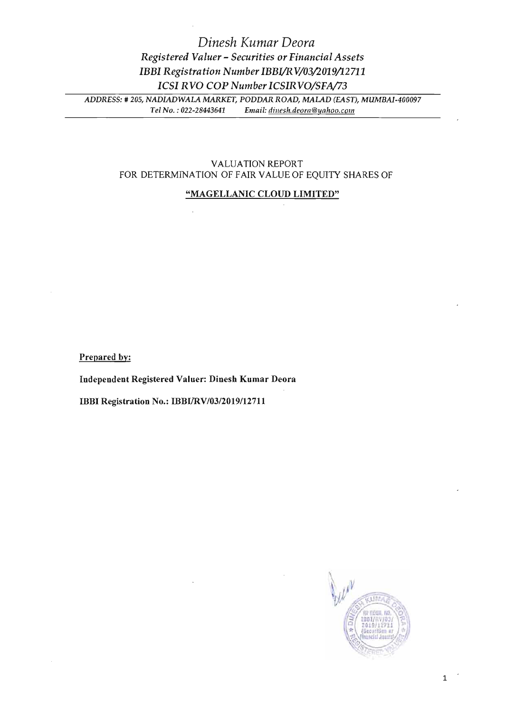ADDRESS: # 205, NADIADWALA MARKET, PODDAR ROAD, MALAD (EAST), MUMBAI-400097 *Tel No.* : *022-28443641 Email: dillfsh.deom@yahoo.com* 

# VALUATION REPORT FOR DETERMINATION OF FAIR VALUE OF EQUITY SHARES OF

# "MAGELLANIC CLOUD LIMITED"

Prepared by:

Independent Registered Valuer: Dinesh Kumar Deora

IBBI Registration No.: IBBI/RV/03/2019/12711

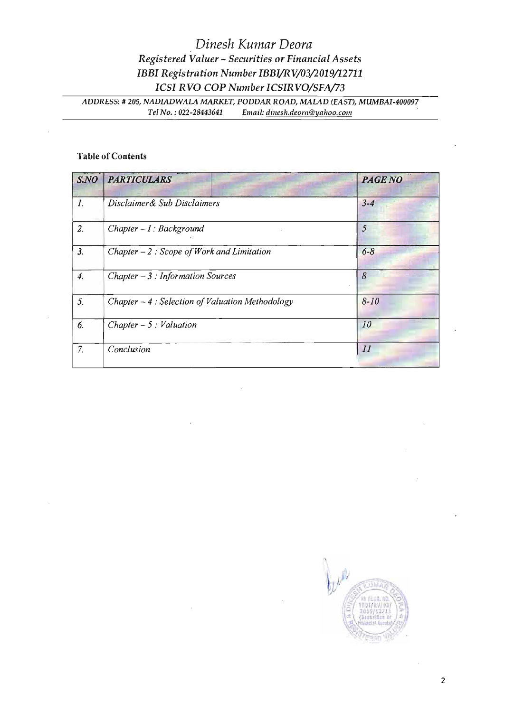*ADDRESS:* # *205, NADIADWALA MARKET, PODDAR ROAD, MALAD (EAST), MUMBAl-400097* Email: dinesh.deorn@yahoo.com

# Table of Contents

| S.NO               | <b>PARTICULARS</b>                               | <b>PAGE NO</b> |
|--------------------|--------------------------------------------------|----------------|
| $\overline{l}$ .   | Disclaimer& Sub Disclaimers                      | $3 - 4$        |
| 2.                 | $Chapter - I: Background$                        | 5              |
| 3.                 | Chapter $-2$ : Scope of Work and Limitation      | $6 - 8$        |
| $\boldsymbol{4}$ . | Chapter $-3$ : Information Sources               | 8              |
| 5.                 | Chapter - 4 : Selection of Valuation Methodology | $8 - 10$       |
| 6.                 | Chapter $-5:$ Valuation                          | 10             |
| 7.                 | Conclusion                                       | II             |

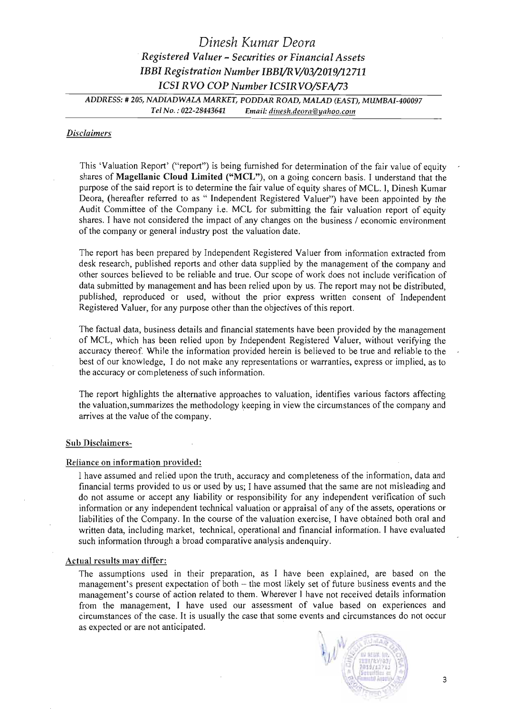*ADDRESS:* # *205, NADIADWALA MARKET, PODDAR ROAD, MALAD (EAST), MUMBAI-400097 Tel No.* : *022-28443641 Email: diuesh.deom@yahoo.com* 

#### *Disclaimers*

This 'Valuation Report' ("report") is being furnished for determination of the fair value of equity shares of Magellanic Cloud Limited ("MCL"), on a going concern basis. I understand that the purpose of the said report is to determine the fair value of equity shares of MCL. I, Dinesh Kumar Deora, (hereafter referred to as " Independent Registered Valuer") have been appointed by the Audit Committee of the Company i.e. MCL for submitting the fair valuation report of equity shares. I have not considered the impact of any changes on the business / economic environment of the company or general industry post the valuation date.

The report has been prepared by Independent Registered Valuer from information extracted from desk research, published reports and other data supplied by the management of the company and other sources believed to be reliable and true. Our scope of work does not include verification of data submitted by management and has been relied upon by us. The report may not be distributed, published, reproduced or used, without the prior express written consent of Independent Registered Valuer, for any purpose other than the objectives of this report.

The factual data, business details and financial statements have been provided by the management of MCL, which has been relied upon by Independent Registered Valuer, without verifying the accuracy thereof. While the information provided herein is believed to be true and reliable to the best of our knowledge, I do not make any representations or warranties, express or implied, as to the accuracy or completeness of such information.

The report highlights the alternative approaches to valuation, identifies various factors affecting the valuation, summarizes the methodology keeping in view the circumstances of the company and arrives at the value of the company.

### Sub Disclaimers-

#### Reliance on information provided:

I have assumed and relied upon the truth, accuracy and completeness of the information, data and financial terms provided to us or used by us; I have assumed that the same are not misleading and do not assume or accept any liability or responsibility for any independent verification of such information or any independent technical valuation or appraisal of any of the assets, operations or liabilities of the Company. In the course of the valuation exercise, I have obtained both oral and written data, including market, technical, operational and financial information. I have evaluated such information through a broad comparative analysis andenquiry.

#### Actual resnlts may differ:

The assumptions used in their preparation, as I have been explained, are based on the management's present expectation of both - the most likely set of future business events and the management's course of action related to them. Wherever 1 have not received details information from the management, I have used our assessment of value based on experiences and circumstances of the case. It is usually the case that some events and circumstances do not occur as expected or are not anticipated.

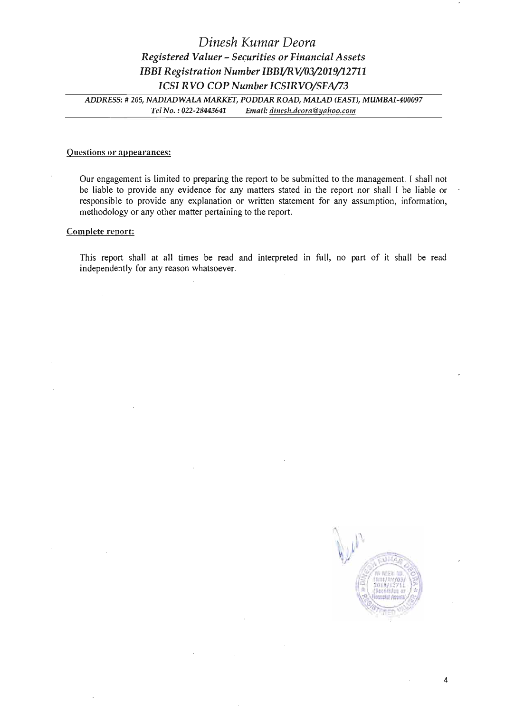*ADDRESS:* # *205, NADIADWALA MARKET, PODDAR ROAD, MALAD (EAST), MUMBAI-400097 TeiNo. :022-28443641 Email: dillesh.deora@yahoo.com* 

#### Questions or appearances:

Our engagement is limited to preparing the report to be submitted to the management. I shall not be liable to provide any evidence for any matters stated in the report nor shall I be liable or responsible to provide any explanation or written statement for any assumption, infonnation, methodology or any other matter pertaining to the report.

### Complete report:

This report shall at all times be read and interpreted in full, no part of it shall be read independently for any reason whatsoever.

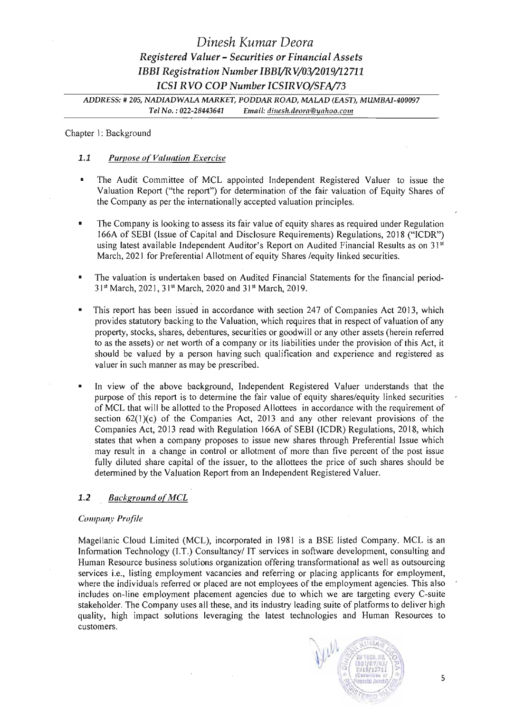*ADDRESS:* # *205, NADIADWALA MARKET, PODDAR ROAD, MALAD (EAST), MUMBAl-400097 Tel No.* : *022-28443641 Email: dillesh.deora@yahoo.com* 

Chapter 1: Background

# *1.1 Purpose* of*Valuation Exercise*

- The Audit Committee of MCL appointed Independent Registered Valuer to issue the Valuation Report ("the report") for determination of the fair valuation of Equity Shares of the Company as per the internationally accepted valuation principles.
- The Company is looking to assess its fair value of equity shares as required under Regulation 166A of SEBI (Issue of Capital and Disclosure Requirements) Regulations, 2018 ("ICDR") using latest available Independent Auditor's Report on Audited Financial Results as on 31<sup>st</sup> March, 2021 for Preferential Allotment of equity Shares /equity linked securities.
- The valuation is undertaken based on Audited Financial Statements for the financial period-31<sup>st</sup> March, 2021, 31<sup>st</sup> March, 2020 and 31<sup>st</sup> March, 2019.
- This report has been issued in accordance with section 247 of Companies Act 2013, which provides statutory backing to the Valuation, which requires that in respect of valuation of any property, stocks, shares, debentures, securities or goodwill or any other assets (herein referred to as the assets) or net worth of a company or its liabilities under the provision of this Act, it should be valued by a person having such qualification and experience and registered as valuer in such manner as may be prescribed.
- In view of the above background, Independent Registered Valuer understands that the purpose of this report is to determine the fair value of equity shares/equity linked securities of MCL that will be allotted to the Proposed Allottees in accordance with the requirement of section 62(1)(c) of the Companies Act, 2013 and any other relevant provisions of the Companies Act, 2013 read with Regulation 166A of SEBI (ICDR) Regulations, 2018, which states that when a company proposes to issue new shares through Preferential Issue which may result in a change in control or allotment of more than five percent of the post issue fully diluted share capital of the issuer, to the allottees the price of such shares should be determined by the Valuation Report from an Independent Registered Valuer.

# 1.2 Background of **MCL**

### *Company Profile*

Magellanic Cloud Limited (MCL), incorporated in 1981 is a BSE listed Company. MCL is an Information Technology (l.T.) Consultancy/ IT services in software development, consulting and Human Resource business solutions organization offering transformational as well as outsourcing services i.e., listing employment vacancies and referring or placing applicants for employment, where the individuals referred or placed are not employees of the employment agencies. This also includes on-line employment placement agencies due to which we are targeting every C-suite stakeholder. The Company uses all these, and its industry leading suite of platforms to deliver high quality, high impact solutions leveraging the latest technologies and Human Resources to customers.

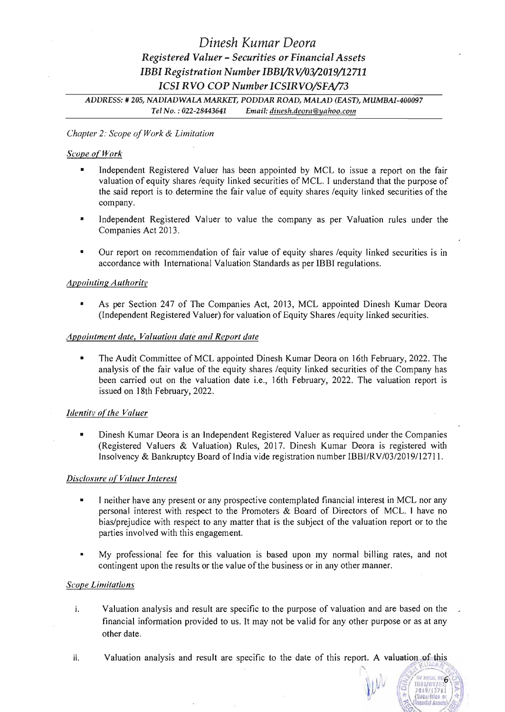*ADDRESS:* # *205, NADIADWALA MARKET, PODDAR ROAD, MALAD (EAST), MUMBAI-400097 TelNo.:022-28443641 Email: dillesh.deora@yahoo.com* 

# *Chapter* 2: *Scope ofWork* & *Limitation*

## *Scope o(Work*

- Independent Registered Valuer has been appointed by MCL to issue a report on the fair valuation of equity shares /equity linked securities of MCL. I understand that the purpose of the said report is to determine the fair value of equity shares /equity linked securities of the company.
- Independent Registered Valuer to value the company as per Valuation rules under the Companies Act 2013.
- Our report on recommendation of fair value of equity shares /equity linked securities is in accordance with International Valuation Standards as per IBBI regulations.

## *Appointing Authority*

• As per Section 247 of The Companies Act, 2013, MCL appointed Dinesh Kumar Deora (Independent Registered Valuer) for valuation of Equity Shares /equity linked securities.

### *Appoilltment date. Valuation date and Report date*

The Audit Committee of MCL appointed Dinesh Kumar Deora on 16th February, 2022. The analysis of the fair value of the equity shares /equity linked securities of the Company has been carried out on the valuation date i.e., 16th February, 2022. The valuation report is issued on 18th February, 2022.

### *Identity of the Valuer*

Dinesh Kumar Deora is an Independent Registered Valuer as required under the Companies (Registered Valuers & Valuation) Rules, 2017. Dinesh Kumar Deora is registered with Insolvency & Bankruptcy Board of India vide registration number IBBIIRV/03/2019/1271 1.

# *Disclosure o( Valuer Interest*

- I neither have any present or any prospective contemplated financial interest in MCL nor any personal interest with respect to the Promoters & Board of Directors of MCL. I have no bias/prejudice with respect to any matter that is the subject of the valuation report or to the parties involved with this engagement.
- My professional fee for this valuation is based upon my normal billing rates, and not contingent upon the results or the value of the business or in any other manner.

### *Scope Limitations*

- i. Valuation analysis and result are specific to the purpose of valuation and are based on the financial information provided to us. It may not be valid for any other purpose or as at any other date.
- ii. Valuation analysis and result are specific to the date of this report. A valuation of this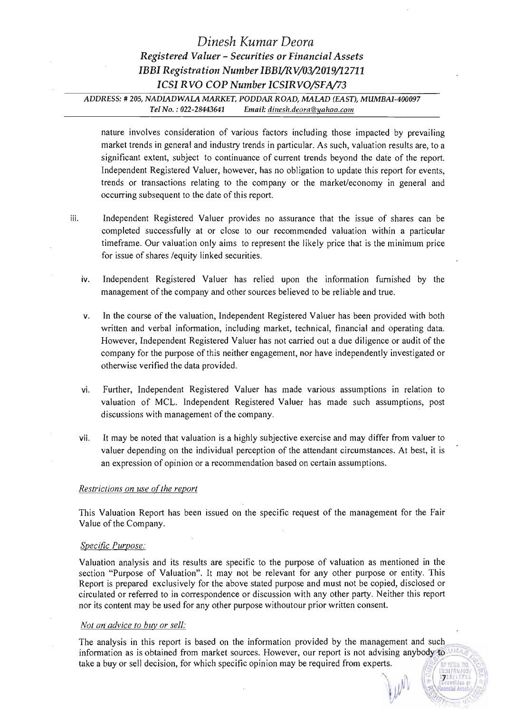*ADDRESS:* # *205, NADIADWALA MARKET, PODDAR ROAD, MALAD (EAST), MUMBAl-400097 Tel No.* : *022-28443641 Email: dillesh.deom@yahoo.com* 

nature involves consideration of various factors including those impacted by prevailing market trends in general and industry trends in particular. As such, valuation results are, to a significant extent, subject to continuance of current trends beyond the date of the report. Independent Registered Valuer, however, has no obligation to update this report for events, trends or transactions relating to the company or the market/economy in general and occurring subsequent to the date of this report.

iii. Independent Registered Valuer provides no assurance that the issue of shares can be completed successfully at or close to our recommended valuation within a particular timeframe. Our valuation only aims to represent the likely price that is the minimum price for issue of shares /equity linked securities.

- iv. Independent Registered Valuer has relied upon the information furnished by the management of the company and other sources believed to be reliable and true.
- v. In the course of the valuation, Independent Registered Valuer has been provided with both written and verbal information, including market, technical, financial and operating data. However, Independent Registered Valuer has not carried out a due diligence or audit of the company for the purpose of this neither engagement, nor have independently investigated or otherwise verified the data provided.
- vi. Further, Independent Registered Valuer has made various assumptions in relation to valuation of MCL. Independent Registered Valuer has made such assumptions, post discussions with management of the company.
- vii. It may be noted that valuation is a highly subjective exercise and may differ from valuer to valuer depending on the individual perception of the attendant circumstances. At best, it is an expression of opinion or a recommendation based on certain assumptions.

### *Restrictions on use o{the report*

This Valuation Report has been issued on the specific request of the management for the Fair Value of the Company.

### *Specific Purpose:*

Valuation analysis and its results are specific to the purpose of valuation as mentioned in the section "Purpose of Valuation". It may not be relevant for any other purpose or entity. This Report is prepared exclusively for the above stated purpose and must not be copied, disclosed or circulated or referred to in correspondence or discussion with any other party. Neither this report nor its content may be used for any other purpose withoutour prior written consent.

### *Not an advice to buy or sell:*

The analysis in this report is based on the information provided by the management and such information as is obtained from market sources. However, our report is not advising anybody to take a buy or sell decision, for which specific opinion may be required from experts.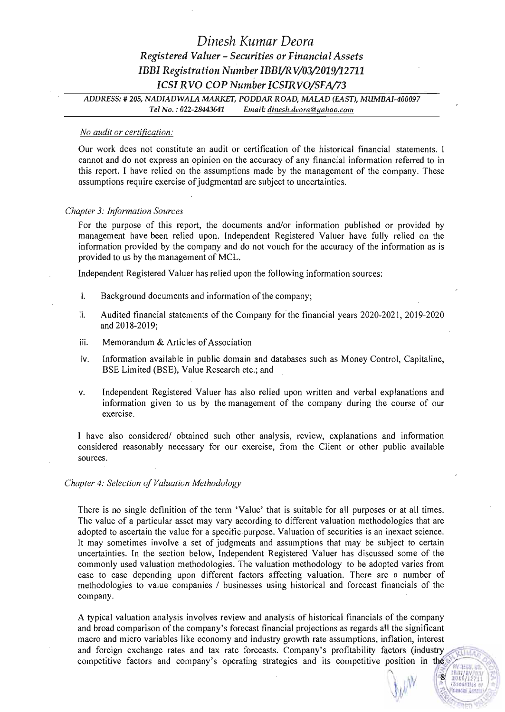*ADDRESS:* # *205, NADIADWALA MARKET, PODDAR ROAD, MALAD (EAST), MUMBAI-400097* Tel No.: 022-28443641 Email: dinesh.deora@yahoo.com

### *No audit or certification:*

Our work does not constitute an audit or certification of the historical financial statements. I cannot and do not express an opinion on the accuracy of any financial information referred to in this report. I have relied on the assumptions made by the management of the company. These assumptions require exercise of judgmentarl are subject to uncertainties.

### *Chapter 3: Information Sources*

For the purpose of this report, the documents and/or information published or provided by management have been relied upon. Independent Registered Valuer have fully relied on the information provided by the company and do not vouch for the accuracy of the information as is provided to us by the management of MCL.

Independent Registered Valuer has relied upon the following information sources:

- i. Background documents and information of the company;
- ii. Audited financial statements of the Company for the financial years 2020-2021, 2019-2020 and 2018-2019;
- iii. Memorandum  $&$  Articles of Association
- iv. Information available in public domain and databases such as Money Control, Capitaline, BSE Limited (BSE), Value Research etc.; and
- v. Independent Registered Valuer has also relied upon written and verbal explanations and information given to us by the management of the company during the course of our exercise.

I have also considered/ obtained such other analysis, review, explanations and information considered reasonably necessary for our exercise, from the Client or other public available sources.

#### *Chapter* 4: *Selection of Valuation Methodology*

There is no single definition of the term 'Value' that is suitable for all purposes or at all times. The value of a particular asset may vary according to different valuation methodologies that are adopted to ascertain the value for a specific purpose. Valuation of securities is an inexact science. It may sometimes involve a set of judgments and assumptions that may be subject to certain uncertainties. In the section below, Independent Registered Valuer has discussed some of the commonly used valuation methodologies. The valuation methodology to be adopted varies from case to case depending upon different factors affecting valuation. There are a number of methodologies to value companies / businesses using historical and forecast financials of the company.

A typical valuation analysis involves review and analysis of historical financials of the company and broad comparison of the company's forecast financial projections as regards all the significant macro and micro variables like economy and industry growth rate assumptions, inflation, interest and foreign exchange rates and tax rate forecasts. Company's profitability factors (industry competitive factors and company's operating strategies and its competitive position in the

 $\circ$ 

 $\mathcal{W}$   $\mathbb{R}$   $\mathbb{R}$   $\mathbb{R}$   $\mathbb{R}$   $\mathbb{R}$   $\mathbb{R}$   $\mathbb{R}$   $\mathbb{R}$   $\mathbb{R}$   $\mathbb{R}$   $\mathbb{R}$   $\mathbb{R}$   $\mathbb{R}$   $\mathbb{R}$   $\mathbb{R}$   $\mathbb{R}$   $\mathbb{R}$   $\mathbb{R}$   $\mathbb{R}$   $\mathbb{R}$   $\mathbb{R}$   $\mathbb{R}$   $\mathbb{R}$   $\mathbb{$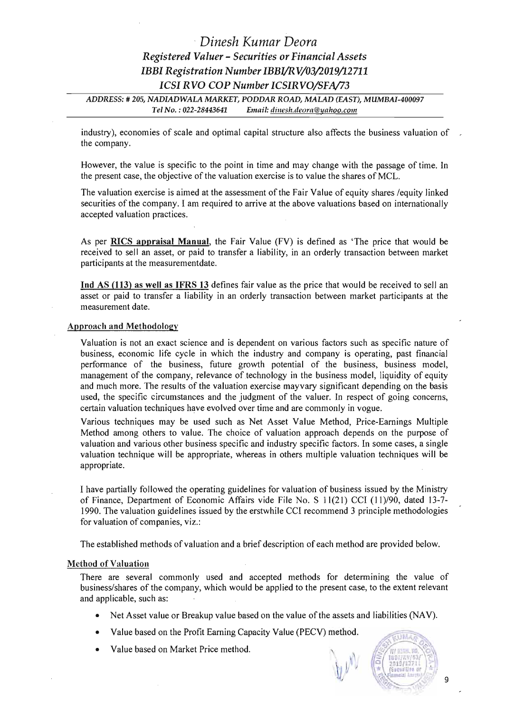*ADDRESS:* # *205, NADIADWALA MARKET, PODDAR ROAD, MALAD (EAST), MUMBAl-400097 Tel No.* : *022-28443641 Email: dillesh.deora@yahoo.com* 

industry), economies of scale and optimal capital structure also affects the business valuation of the company.

However, the value is specific to the point in time and may change with the passage of time. In the present case, the objective of the valuation exercise is to value the shares of MCL.

The valuation exercise is aimed at the assessment of the Fair Value of equity shares /equity linked securities of the company. I am required to arrive at the above valuations based on internationally accepted valuation practices.

As per RICS appraisal Manual, the Fair Value (FV) is defined as 'The price that would be received to sell an asset, or paid to transfer a liability, in an orderly transaction between market participants at the measurementdate.

Ind AS (113) as well as IFRS 13 defines fair value as the price that would be received to sell an asset or paid to transfer a liability in an orderly transaction between market participants at the measurement date.

### Approach and Methodology

Valuation is not an exact science and is dependent on various factors such as specific nature of business, economic life cycle in which the industry and company is operating, past financial performance of the business, future growth potential of the business, business model, management of the company, relevance of technology in the business model, liquidity of equity and much more. The results of the valuation exercise mayvary significant depending on the basis used, the specific circumstances and the judgment of the valuer. In respect of going concerns, certain valuation techniques have evolved over time and are commonly in vogue.

Various techniques may be used such as Net Asset Value Method, Price-Earnings Multiple Method among others to value. The choice of valuation approach depends on the purpose of valuation and various other business specific and industry specific factors. In some cases, a single valuation technique will be appropriate, whereas in others multiple valuation techniques will be appropriate.

I have partially followed the operating guidelines for valuation of business issued by the Ministry of Finance, Department of Economic Affairs vide File No. S 11(21) CCI (11)/90, dated 13-7 1990. The valuation guidelines issued by the erstwhile CCI recommend 3 principle methodologies for valuation of companies, viz.:

The established methods of valuation and a brief description of each method are provided below.

#### Method of Valuation

There are several commonly used and accepted methods for determining the value of business/shares of the company, which would be applied to the present case, to the extent relevant and applicable, such as:

- Net Asset value or Breakup value based on the value of the assets and liabilities (NAV).
- Value based on the Profit Earning Capacity Value (PECV) method.
- Value based on Market Price method.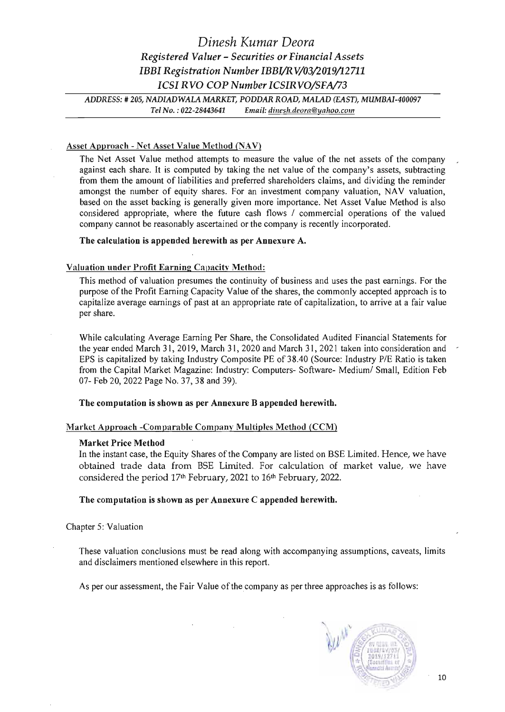*ADDRESS:* # *205, NADIADWALA MARKET, PODDAR ROAD, MALAD (EASn, MUMBAl-400097* Tel No.: 022-28443641 Email: dinesh.deora@yahoo.com

## Asset Approach - Net Asset Value Method (NAV)

The Net Asset Value method attempts to measure the value of the net assets of the company against each share. It is computed by taking the net value of the company's assets, subtracting from them the amount of liabilities and preferred shareholders claims, and dividing the reminder amongst the number of equity shares. For an investment company valuation, NAV valuation, based on the asset backing is generally given more importance. Net Asset Value Method is also considered appropriate, where the future cash flows / commercial operations of the valued company cannot be reasonably ascertained or the company is recently incorporated.

### The calculation is appended herewith as per Annexure A.

### Valuation under Profit Earning Capacity Method:

This method of valuation presumes the continuity of business and uses the past earnings. For the purpose of the Profit Earning Capacity Value of the shares, the commonly accepted approach is to capitalize average earnings of past at an appropriate rate of capitalization, to arrive at a fair value per share.

While calculating Average Earning Per Share, the Consolidated Audited Financial Statements for the year ended March 31, 2019, March 31, 2020 and March 31, 2021 taken into consideration and EPS is capitalized by taking Industry Composite PE of 38.40 (Source: Industry *PIE* Ratio is taken from the Capital Market Magazine: Industry: Computers- Software- Medium/ Small, Edition Feb 07- Feb 20, 2022 Page No. 37, 38 and 39).

# The computation is shown as per Annexure B appended herewith.

## Market Approach -Comparable Company Multiples Method (CCM)

### Market Price Method

In the instant case, the Equity Shares of the Company are listed on BSE Limited. Hence, we have obtained trade data from BSE Limited. For calculation of market value, we have considered the period 17<sup>th</sup> February, 2021 to 16<sup>th</sup> February, 2022.

### The computation is shown as per Annexure C appended herewith.

Chapter 5: Valuation

These valuation conclusions must be read along with accompanying assumptions, caveats, limits and disclaimers mentioned elsewhere in this report.

As per our assessment, the Fair Value of the company as per three approaches is as follows:

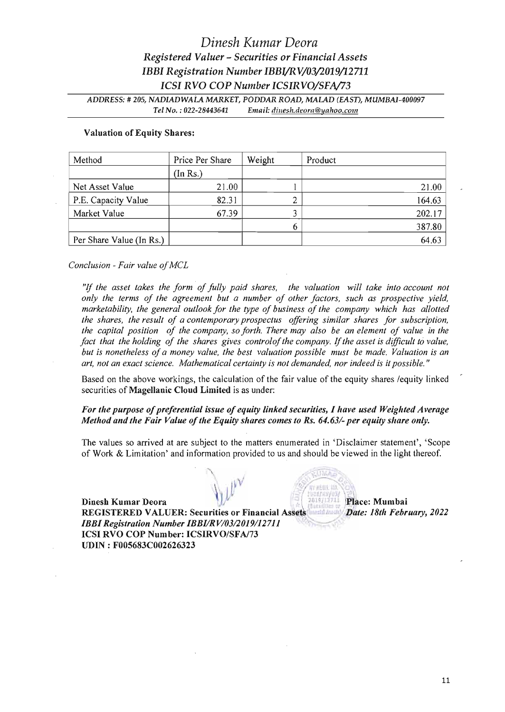*ADDRESS:* # *205, NADIADWAU MARKET, PODDAR ROAD, MALAD (EAST), MUMBAl-400097 TelNo.:022-28443641 Email: dillesh.deom@yahoo.com* 

| Method                   | Price Per Share | Weight | Product |
|--------------------------|-----------------|--------|---------|
|                          | (In Rs.)        |        |         |
| Net Asset Value          | 21.00           |        | 21.00   |
| P.E. Capacity Value      | 82.31           |        | 164.63  |
| Market Value             | 67.39           |        | 202.17  |
|                          |                 | O      | 387.80  |
| Per Share Value (In Rs.) |                 |        | 64.63   |

## Valuation of Equity Shares:

*Conclusion* - *Fair value ofMCL* 

"If *the asset takes the form of fully paid shares, the valuation will take into account not only the terms of the agreement but a number of other factors, such as prospective yield, marketability, the general outlook for the type of business of the company which has allotted the shares, the result of a contemporary prospectus offering similar shares for subscription, the capital position of the company, so forth. There may also be an element of value in the fact that the holding of the shares gives controlofthe company.* If*the asset is difficult to value, but is nonetheless ofa money value, the best valuation possible must be made. Valuation is an art, not an exact science. Mathematical certainty is not demanded, nor indeed is it possible. "* 

Based on the above workings, the calculation of the fair value of the equity shares /equity linked securities of Magellanic Cloud Limited is as under:

For the purpose of preferential issue of equity linked securities, I have used Weighted Average *Method and the Fair Value of the Equity shares comes to Rs. 64.63/- per equity share only.* 

The values so arrived at are subject to the matters enumerated in 'Disclaimer statement', 'Scope of Work & Limitation' and information provided to us and should be viewed in the light thereof.

Dinesh Kumar Deora  $\mathcal{U}^{\vee}$  . 7.000 | 2009/11/11 | Place: Mumbai REGISTERED VALUER: Securities or Financial Assets **IBBI Registration Number IBBI/RV/03/2019/12711** ICSI RVO COP Number: ICSIRVO/SFA/73 UDIN : F005683C002626323

 $\sqrt{100A_B}$ t~ V :-'~ firE'!'; ;~~  $\mathcal{F} \setminus \{ \text{I} \text{ is } 1 \text{ or } 1 \}$ 

Date: 18th February, 2022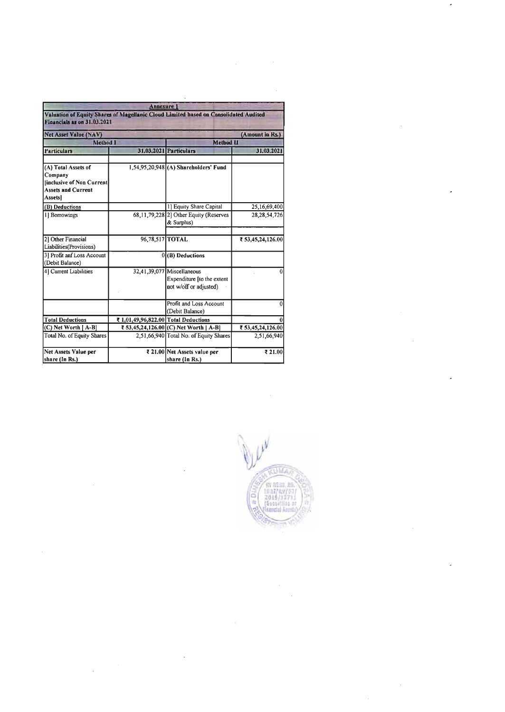|                                                                                                                     | Annexure 1                           |                                                                                    |                   |
|---------------------------------------------------------------------------------------------------------------------|--------------------------------------|------------------------------------------------------------------------------------|-------------------|
| Valuation of Equity Shares of Magellanic Cloud Limited based on Consolidated Audited<br>Financials as on 31.03.2021 |                                      |                                                                                    |                   |
| Net Asset Value (NAV)                                                                                               |                                      |                                                                                    | (Amount in Rs.)   |
| Method I                                                                                                            |                                      | <b>Method II</b>                                                                   |                   |
| <b>Particulars</b>                                                                                                  |                                      | 31.03.2021 Particulars                                                             | 31.03.2021        |
| (A) Total Assets of<br>Company<br>linclusive of Non Current<br><b>Assets and Current</b><br>Assetsl                 |                                      | $1,54,95,20,948$ (A) Shareholders' Fund                                            |                   |
| (B) Deductions                                                                                                      |                                      | 1] Equity Share Capital                                                            | 25,16,69,400      |
| Borrowings                                                                                                          |                                      | 68,11,79,228 2] Other Equity (Reserves<br>& Surplus)                               | 28, 28, 54, 726   |
| 2] Other Financial<br>Liabilities(Provisions)                                                                       | 96,78,517 TOTAL                      |                                                                                    | ₹ 53,45,24,126.00 |
| 3] Profit anf Loss Account<br>(Debit Balance)                                                                       |                                      | 0(B) Deductions                                                                    |                   |
| 4] Current Liabilities                                                                                              |                                      | 32,41,39,077 Miscellaneous<br>Expenditure [to the extent<br>not w/off or adjusted) |                   |
|                                                                                                                     |                                      | Profit and Loss Account<br>(Debit Balance)                                         |                   |
| <b>Total Deductions</b>                                                                                             | ₹ 1,01,49,96,822.00 Total Deductions |                                                                                    |                   |
| $(C)$ Net Worth $[$ A-B $]$                                                                                         |                                      | ₹ 53,45,24,126.00 (C) Net Worth   A-B                                              | ₹ 53,45,24,126.00 |
| Total No. of Equity Shares                                                                                          |                                      | 2,51,66,940 Total No. of Equity Shares                                             | 2,51,66,940       |
| Net Assets Value per<br>share (In Rs.)                                                                              |                                      | ₹ 21.00 Net Assets value per<br>share (In Rs.)                                     | ₹ 21.00           |

 $\ddot{\phantom{a}}$ 

 $\hat{\mathcal{A}}$ 

 $\hat{\boldsymbol{\beta}}$ 

 $\label{eq:2.1} \frac{1}{\sqrt{2\pi}}\int_{0}^{\infty}\frac{d\mu}{\lambda}d\mu\,d\mu\,.$ 

 $\frac{1}{2}$ 



 $\hat{\mathcal{A}}$ 

 $\hat{\boldsymbol{\beta}}$ 

 $\label{eq:2.1} \frac{1}{\sqrt{2}}\int_{\mathbb{R}^3}\frac{1}{\sqrt{2}}\left(\frac{1}{\sqrt{2}}\right)^2\frac{1}{\sqrt{2}}\left(\frac{1}{\sqrt{2}}\right)^2\frac{1}{\sqrt{2}}\left(\frac{1}{\sqrt{2}}\right)^2.$ 

 $\frac{1}{2}$ 

 $\sim$ 

 $\mathcal{L}_{\mathcal{I}}$ 

 $\mathcal{A}^{\mathcal{A}}$ 

 $\sim$   $\sim$ 

 $\frac{1}{2}$ 

 $\overline{\phantom{a}}$ 

 $\mathbf{r}$ 

 $\overline{\phantom{a}}$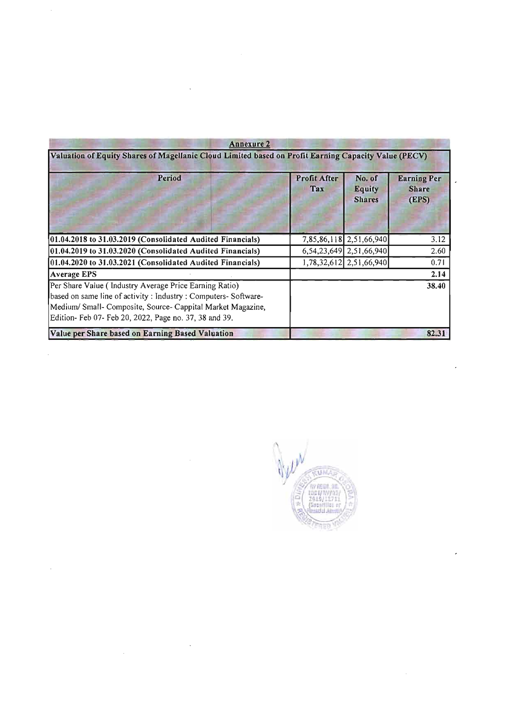| <b>Annexure 2</b>                                                                                                                                                                                                                                   |                     |                                          |                                             |
|-----------------------------------------------------------------------------------------------------------------------------------------------------------------------------------------------------------------------------------------------------|---------------------|------------------------------------------|---------------------------------------------|
| Valuation of Equity Shares of Magellanic Cloud Limited based on Profit Earning Capacity Value (PECV)                                                                                                                                                |                     |                                          |                                             |
| <b>Period</b>                                                                                                                                                                                                                                       | Profit After<br>Tax | No. of<br><b>Equity</b><br><b>Shares</b> | <b>Earning Per</b><br><b>Share</b><br>(EPS) |
| 01.04.2018 to 31.03.2019 (Consolidated Audited Financials)                                                                                                                                                                                          |                     | 7,85,86,118 2,51,66,940                  | 3.12                                        |
| $[01.04.2019$ to 31.03.2020 (Consolidated Audited Financials)                                                                                                                                                                                       |                     | 6,54,23,649 2,51,66,940                  | 2.60                                        |
| 01.04.2020 to 31.03.2021 (Consolidated Audited Financials)                                                                                                                                                                                          |                     | 1,78,32,612 2,51,66,940                  | 0.71                                        |
| <b>Average EPS</b>                                                                                                                                                                                                                                  |                     |                                          | 2.14                                        |
| Per Share Value (Industry Average Price Earning Ratio)<br>based on same line of activity : Industry : Computers- Software-<br>Medium/ Small- Composite, Source- Cappital Market Magazine,<br>Edition- Feb 07- Feb 20, 2022, Page no. 37, 38 and 39. |                     |                                          | 38.40                                       |
| Value per Share based on Earning Based Valuation                                                                                                                                                                                                    |                     |                                          | 82.31                                       |

 $\sim$ 

 $\hat{\mathcal{A}}$ 

 $\hat{\boldsymbol{\beta}}$ 

 $\mathcal{A}_{\mathcal{A}}$ 

 $\frac{1}{2}$ 

 $\frac{1}{2}$ 

 $\frac{1}{2}$ 



 $\overline{\phantom{a}}$ 

 $\overline{\phantom{a}}$ 

 $\hat{\mathcal{A}}$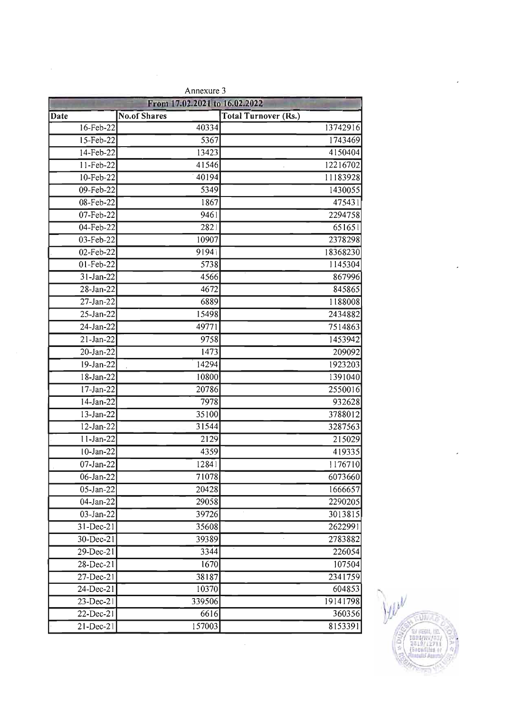| From 17.02.2021 to 16.02.2022 |                     |                             |  |
|-------------------------------|---------------------|-----------------------------|--|
| Date                          | <b>No.of Shares</b> | <b>Total Turnover (Rs.)</b> |  |
| 16-Feb-22                     | 40334               | 13742916                    |  |
| 15-Feb-22                     | 5367                | 1743469                     |  |
| 14-Feb-22                     | 13423               | 4150404                     |  |
| $11-Feb-22$                   | 41546               | 12216702                    |  |
| 10-Feb-22                     | 40194               | 11183928                    |  |
| 09-Feb-22                     | 5349                | 1430055                     |  |
| 08-Feb-22                     | 1867                | 475431                      |  |
| 07-Feb-22                     | 9461                | 2294758                     |  |
| 04-Feb-22                     | 2821                | 651651                      |  |
| 03-Feb-22                     | 10907               | 2378298                     |  |
| 02-Feb-22                     | 91941               | 18368230                    |  |
| 01-Feb-22                     | 5738                | 1145304                     |  |
| $31-Jan-22$                   | 4566                | 867996                      |  |
| 28-Jan-22                     | 4672                | 845865                      |  |
| $27$ -Jan-22                  | 6889                | 1188008                     |  |
| 25-Jan-22                     | 15498               | 2434882                     |  |
| $24$ -Jan-22                  | 49771               | 7514863                     |  |
| 21-Jan-22                     | 9758                | 1453942                     |  |
| $20$ -Jan-22                  | 1473                | 209092                      |  |
| 19-Jan-22                     | 14294               | 1923203                     |  |
| 18-Jan-22                     | 10800               | 1391040                     |  |
| 17-Jan-22                     | 20786               | 2550016                     |  |
| $14$ -Jan-22                  | 7978                | 932628                      |  |
| 13-Jan-22                     | 35100               | 3788012                     |  |
| 12-Jan-22                     | 31544               | 3287563                     |  |
| $11-Jan-22$                   | 2129                | 215029                      |  |
| $10$ -Jan-22                  | 4359                | 419335                      |  |
| 07-Jan-22                     | 12841               | 1176710                     |  |
| 06-Jan-22                     | 71078               | 6073660                     |  |
| 05-Jan-22                     | 20428               | 1666657                     |  |
| 04-Jan-22                     | 29058               | 2290205                     |  |
| 03-Jan-22                     | 39726               | 3013815                     |  |
| 31-Dec-21                     | 35608               | 2622991                     |  |
| 30-Dec-21                     | 39389               | 2783882                     |  |
| 29-Dec-21                     | 3344                | 226054                      |  |
| 28-Dec-21                     | 1670                | 107504                      |  |
| 27-Dec-21                     | 38187               | 2341759                     |  |
| 24-Dec-21                     | 10370               | 604853                      |  |
| 23-Dec-21                     | 339506              | 19141798                    |  |
| 22-Dec-21                     | 6616                | 360356                      |  |
| 21-Dec-21                     | 157003              | 8153391                     |  |

 $\frac{1}{2}$ 

Annexure 3

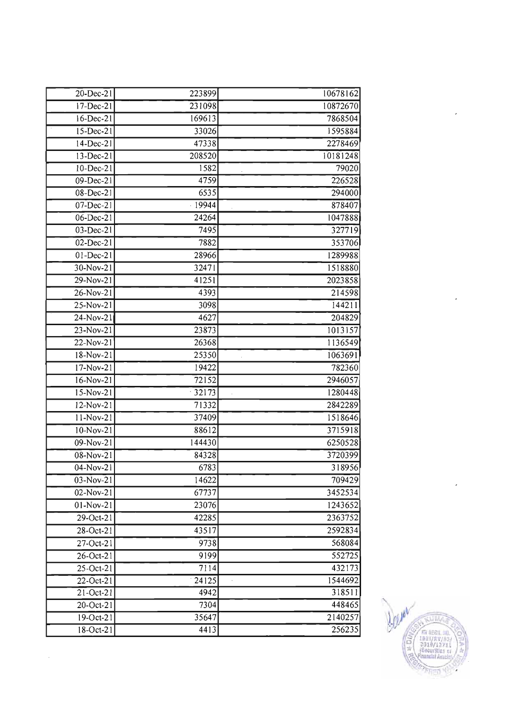| 20-Dec-21               | 223899 | 10678162 |
|-------------------------|--------|----------|
| $17 - Dec - 21$         | 231098 | 10872670 |
| 16-Dec-21               | 169613 | 7868504  |
| $15$ -Dec-21            | 33026  | 1595884  |
| 14-Dec-21               | 47338  | 2278469  |
| $13-Dec-21$             | 208520 | 10181248 |
| $10$ -Dec-21            | 1582   | 79020    |
| 09-Dec-21               | 4759   | 226528   |
| 08-Dec-21               | 6535   | 294000   |
| $07 - Dec - 21$         | .19944 | 878407   |
| $06-Dec-21$             | 24264  | 1047888  |
| 03-Dec-21               | 7495   | 327719   |
| 02-Dec-21               | 7882   | 353706   |
| $01 - Dec - 21$         | 28966  | 1289988  |
| $30-Nov-21$             | 32471  | 1518880  |
| $29-Nov-21$             | 41251  | 2023858  |
| $26 - Nov - 21$         | 4393   | 214598   |
| 25-Nov-21               | 3098   | 144211   |
| 24-Nov-21               | 4627   | 204829   |
| $23-Nov-21$             | 23873  | 1013157  |
| 22-Nov-21               | 26368  | 1136549  |
| $18-Nov-21$             | 25350  | 1063691  |
| 17-Nov-21               | 19422  | 782360   |
| 16-Nov-21               | 72152  | 2946057  |
| 15-Nov-21               | 32173  | 1280448  |
| 12-Nov-21               | 71332  | 2842289  |
| 11-Nov-21               | 37409  | 1518646  |
| $10-Nov-21$             | 88612  | 3715918  |
| 09-Nov-21               | 144430 | 6250528  |
| 08-Nov-21               | 84328  | 3720399  |
| 04-Nov-21               | 6783   | 318956   |
| $03-Nov-21$             | 14622  | 709429   |
| 02-Nov-21               | 67737  | 3452534  |
| $\overline{01-N}$ ov-21 | 23076  | 1243652  |
| 29-Oct-21               | 42285  | 2363752  |
| 28-Oct-21               | 43517  | 2592834  |
| 27-Oct-21               | 9738   | 568084   |
| 26-Oct-21               | 9199   | 552725   |
| 25-Oct-21               | 7114   | 432173   |
| 22-Oct-21               | 24125  | 1544692  |
| 21-Oct-21               | 4942   | 318511   |
| 20-Oct-21               | 7304   | 448465   |
| 19-Oct-21               | 35647  | 2140257  |
| 18-Oct-21               | 4413   | 256235   |

l,



 $\overline{\phantom{a}}$ 

 $\cdot$ 

 $\ddot{\phantom{0}}$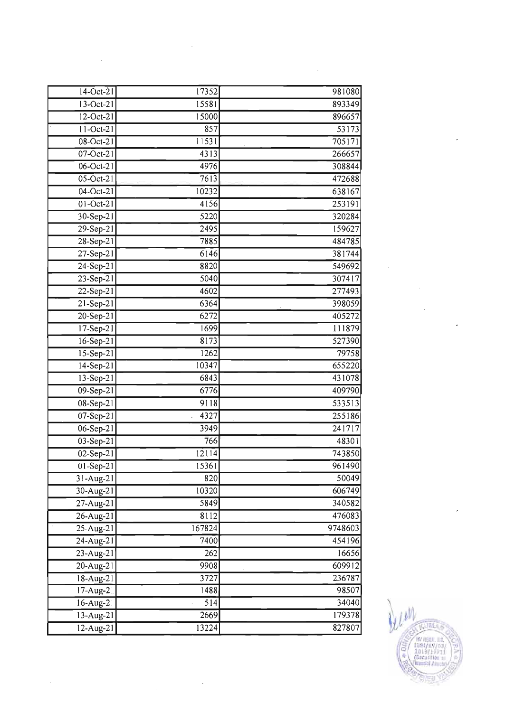| $14-Oct-21$           | 17352  | 981080              |
|-----------------------|--------|---------------------|
| $13-Oct-21$           | 15581  | 893349              |
| $12-Oct-21$           | 15000  | 896657              |
| $11 - Oct-21$         | 857    | 53173               |
| $08-Cct-21$           | 11531  | 705171              |
| $07-\overline{Oct-2}$ | 4313   | 266657              |
| $06$ -Oct-21          | 4976   | 308844              |
| $05-Oct-21$           | 7613   | 472688              |
| 04-Oct-21             | 10232  | 638167              |
| $01-Oct-21$           | 4156   | 253191              |
| 30-Sep-21             | 5220   | 320284              |
| 29-Sep-21             | 2495   | 159627              |
| 28-Sep-21             | 7885   | 484785              |
| $27-Sep-21$           | 6146   | 381744              |
| $24-Sep-21$           | 8820   | 549692              |
| $23-Sep-21$           | 5040   | 307417              |
| $22-Sep-21$           | 4602   | 277493              |
| 21-Sep-21             | 6364   | 398059              |
| $20 - Sep - 21$       | 6272   | 405272              |
| $17-Sep-21$           | 1699   | 111879              |
| $16-Sep-21$           | 8173   | 527390              |
| $15-Sep-21$           | 1262   | 79758               |
| $14-Sep-21$           | 10347  | 655220              |
| $13-Sep-21$           | 6843   | 431078              |
| 09-Sep-21             | 6776   | 409790              |
| $08-Sep-21$           | 9118   | 533513              |
| $07-Sep-21$           | 4327   | 255186              |
| 06-Sep-21             | 3949   | $\overline{241717}$ |
| $03-Sep-21$           | 766    | 48301               |
| $02-Sep-21$           | 12114  | 743850              |
| $01-Sep-21$           | 15361  | 961490              |
| $31 - Aug - 21$       | 820    | 50049               |
| 30-Aug-21             | 10320  | 606749              |
| $27-Aug-21$           | 5849   | 340582              |
| 26-Aug-21             | 8112   | 476083              |
| $25-Aug-21$           | 167824 | 9748603             |
| $24-Aug-21$           | 7400   | 454196              |
| $23-Aug-21$           | 262    | 16656               |
| $20-Aug-2$            | 9908   | 609912              |
| 18-Aug-21             | 3727   | 236787              |
| 17-Aug-21             | 1488   | 98507               |
| 16-Aug-21             | 514    | 34040               |
| 13-Aug-21             | 2669   | 179378              |
| $12-Aug-21$           | 13224  | 827807              |

 $\label{eq:2.1} \frac{1}{\sqrt{2\pi}}\int_{0}^{\infty}\frac{1}{\sqrt{2\pi}}\left(\frac{1}{\sqrt{2\pi}}\right)^{2\alpha} \frac{1}{\sqrt{2\pi}}\frac{d\theta}{\sqrt{2\pi}}\,.$ 

 $\hat{\mathcal{L}}$ 

 $\overline{\mathcal{E}}$ 

 $\hat{\mathcal{A}}$ 

**WALL! CUMA** IN ILEGIL IN **CONVERT** 

 $\bar{\gamma}$ 

 $\hat{\mathcal{A}}$ 

 $\hat{\mathcal{A}}$ 

 $\hat{\mathcal{A}}$ 

 $\hat{\boldsymbol{\beta}}$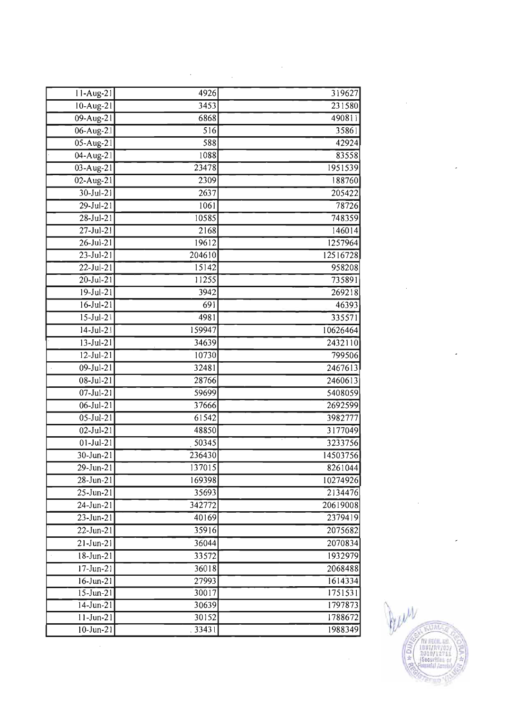| 11-Aug-21       | 4926              | 319627   |
|-----------------|-------------------|----------|
| $10-Aug-21$     | 3453              | 231580   |
| $09-Aug-21$     | 6868              | 490811   |
| 06-Aug-21       | 516               | 35861    |
| $05-Aug-21$     | 588               | 42924    |
| $04-Aug-21$     | 1088              | 83558    |
| $03-Aug-21$     | 23478             | 1951539  |
| 02-Aug-21       | 2309              | 188760   |
| $30 - Jul - 21$ | 2637              | 205422   |
| $29 - Jul - 21$ | $\overline{1061}$ | 78726    |
| $28 -$ Jul-21   | 10585             | 748359   |
| $27 -$ Jul-21   | 2168              | 146014   |
| $26 -$ Jul-21   | 19612             | 1257964  |
| $23 - Jul - 21$ | 204610            | 12516728 |
| $22 -$ Jul-21   | 15142             | 958208   |
| $20 -$ Jul-21   | 11255             | 735891   |
| $19-Jul-21$     | 3942              | 269218   |
| $16 -$ Jul-21   | 691               | 46393    |
| $15 - Jul - 21$ | 4981              | 335571   |
| $14 - Jul - 21$ | 159947            | 10626464 |
| $13 - Jul - 21$ | 34639             | 2432110  |
| $12 - Ju - 21$  | 10730             | 799506   |
| 09-Jul-21       | 32481             | 2467613  |
| 08-Jul-21       | 28766             | 2460613  |
| $07 -$ Jul-21   | 59699             | 5408059  |
| 06-Jul-21       | 37666             | 2692599  |
| $05$ -Jul-21    | $\sqrt{61542}$    | 3982777  |
| $02$ -Jul-21    | 48850             | 3177049  |
| $01-Jul-21$     | 50345             | 3233756  |
| 30-Jun-21       | 236430            | 14503756 |
| 29-Jun-21       | 137015            | 8261044  |
| 28-Jun-21       | 169398            | 10274926 |
| 25-Jun-21       | 35693             | 2134476  |
| $24$ -Jun-21    | 342772            | 20619008 |
| $23 - Jun - 21$ | 40169             | 2379419  |
| 22-Jun-21       | 35916             | 2075682  |
| $21-Jun-21$     | 36044             | 2070834  |
| $18$ -Jun-21    | 33572             | 1932979  |
| $17 - Jun - 21$ | 36018             | 2068488  |
| $16$ -Jun-21    | 27993             | 1614334  |
| $15$ -Jun-21    | 30017             | 1751531  |
| $14$ -Jun-21    | 30639             | 1797873  |
| $11 - Jun-21$   | 30152             | 1788672  |
| $10 - Jun-21$   | .33431            | 1988349  |

 $\mathcal{L}_{\mathcal{L}}$ 

Berry **RUAL**  $\sqrt{\frac{2}{\sqrt{2}}}$  $(S<sub>2</sub>cut)$ 

 $\frac{1}{2}$ 

 $\hat{\mathcal{A}}$ 

 $\hat{\mathcal{A}}$ 

 $\mathcal{L}$ 

 $\mathcal{L}$ 

 $\overline{\phantom{a}}$ 

 $\overline{\phantom{a}}$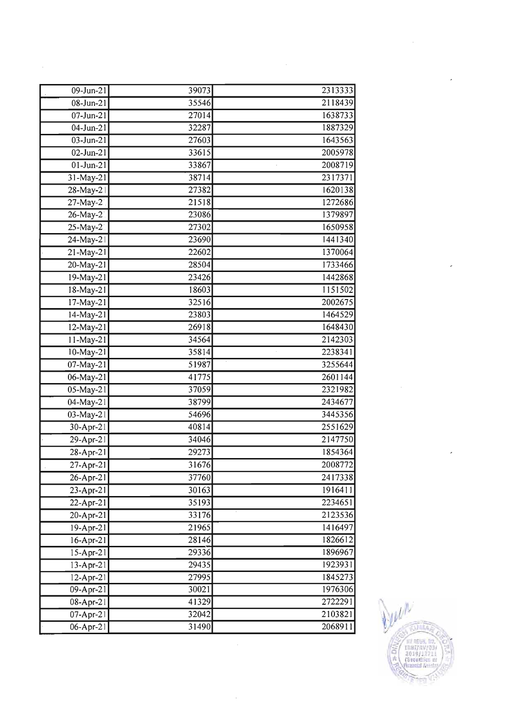| $09$ -Jun-21            | 39073 | 2313333 |
|-------------------------|-------|---------|
| $08$ -Jun-21            | 35546 | 2118439 |
| $07$ -Jun-21            | 27014 | 1638733 |
| $\overline{04}$ -Jun-21 | 32287 | 1887329 |
| $03$ -Jun-21            | 27603 | 1643563 |
| $02 - Jun - 21$         | 33615 | 2005978 |
| $01$ -Jun-21            | 33867 | 2008719 |
| $31-May-21$             | 38714 | 2317371 |
| 28-May-21               | 27382 | 1620138 |
| $27$ -May-2             | 21518 | 1272686 |
| 26-May-2                | 23086 | 1379897 |
| 25-May-2                | 27302 | 1650958 |
| $24$ -May-21            | 23690 | 1441340 |
| $21-May-21$             | 22602 | 1370064 |
| $20-May-21$             | 28504 | 1733466 |
| $19-May-21$             | 23426 | 1442868 |
| $18-May-21$             | 18603 | 1151502 |
| 17-May-21               | 32516 | 2002675 |
| 14-May-21               | 23803 | 1464529 |
| $12$ -May-21            | 26918 | 1648430 |
| $11-May-21$             | 34564 | 2142303 |
| $10-May-21$             | 35814 | 2238341 |
| $07-May-21$             | 51987 | 3255644 |
| 06-May-21               | 41775 | 2601144 |
| 05-May-21               | 37059 | 2321982 |
| 04-May-21               | 38799 | 2434677 |
| 03-May-21               | 54696 | 3445356 |
| $30-Apr-21$             | 40814 | 2551629 |
| $29-Apr-21$             | 34046 | 2147750 |
| $28-Apr-21$             | 29273 | 1854364 |
| $27 - Apr - 21$         | 31676 | 2008772 |
| $26 - Apr - 21$         | 37760 | 2417338 |
| $23 - Apr - 21$         | 30163 | 1916411 |
| $22-Apr-21$             | 35193 | 2234651 |
| $20-Apr-21$             | 33176 | 2123536 |
| $19-Apr-21$             | 21965 | 1416497 |
| $16-Apr-21$             | 28146 | 1826612 |
| $15-Apr-21$             | 29336 | 1896967 |
| $13-Apr-21$             | 29435 | 1923931 |
| $12-Apr-21$             | 27995 | 1845273 |
| $09-Apr-21$             | 30021 | 1976306 |
| 08-Apr-21               | 41329 | 2722291 |
| 07-Apr-21               | 32042 | 2103821 |
| 06-Apr-21               | 31490 | 2068911 |

 $\frac{1}{2}$ 

 $\frac{1}{2}$ 



 $\sim$ 

 $\hat{\mathcal{L}}$ 

 $\lambda$ 

 $\mathbf{r}$ 

 $\overline{\phantom{a}}$ 

 $\sim$